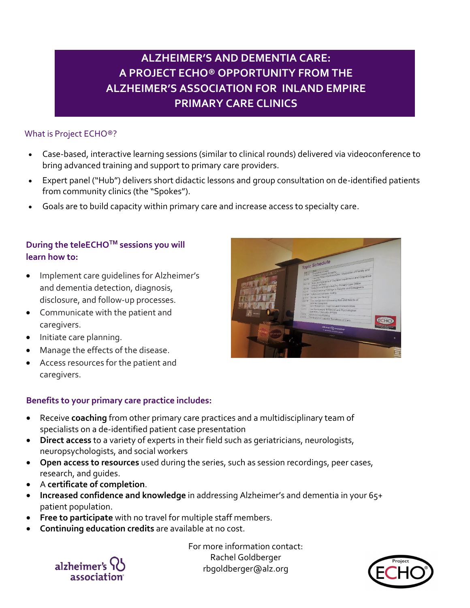# **ALZHEIMER'S AND DEMENTIA CARE: A PROJECT ECHO® OPPORTUNITY FROM THE ALZHEIMER'S ASSOCIATION FOR INLAND EMPIRE PRIMARY CARE CLINICS**

## What is Project ECHO®?

- Case-based, interactive learning sessions (similar to clinical rounds) delivered via videoconference to bring advanced training and support to primary care providers.
- Expert panel ("Hub") delivers short didactic lessons and group consultation on de-identified patients from community clinics (the "Spokes").
- Goals are to build capacity within primary care and increase access to specialty care.

## **During the teleECHOTM sessions you will learn how to:**

- Implement care guidelines for Alzheimer's and dementia detection, diagnosis, disclosure, and follow-up processes.
- Communicate with the patient and caregivers.
- Initiate care planning.
- Manage the effects of the disease.
- Access resources for the patient and caregivers.

### **Benefits to your primary care practice includes:**

- Receive **coaching** from other primary care practices and a multidisciplinary team of specialists on a de-identified patient case presentation
- **Direct access** to a variety of experts in their field such as geriatricians, neurologists, neuropsychologists, and social workers
- **Open access to resources** used during the series, such as session recordings, peer cases, research, and guides.
- A **certificate of completion**.
- **Increased confidence and knowledge** in addressing Alzheimer's and dementia in your 65+ patient population.
- **Free to participate** with no travel for multiple staff members.
- **Continuing education credits** are available at no cost.

For more information contact: Rachel Goldberger rbgoldberger@alz.org



alzheimer's association